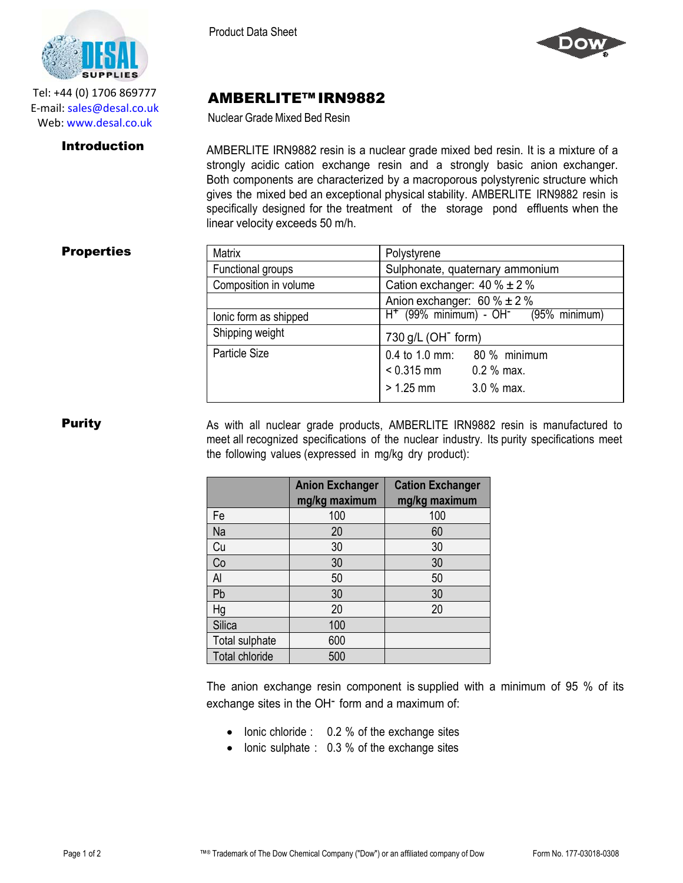

Tel: +44 (0) 1706 869777 E‐mail: sales@desal.co.uk Web: www.desal.co.uk

Product Data Sheet



# AMBERLITE™ IRN9882

Nuclear Grade Mixed Bed Resin

**Introduction** AMBERLITE IRN9882 resin is a nuclear grade mixed bed resin. It is a mixture of a strongly acidic cation exchange resin and a strongly basic anion exchanger. Both components are characterized by a macroporous polystyrenic structure which gives the mixed bed an exceptional physical stability. AMBERLITE IRN9882 resin is specifically designed for the treatment of the storage pond effluents when the linear velocity exceeds 50 m/h.

## **Properties**

| <b>Matrix</b>         | Polystyrene                                                                        |  |
|-----------------------|------------------------------------------------------------------------------------|--|
| Functional groups     | Sulphonate, quaternary ammonium                                                    |  |
| Composition in volume | Cation exchanger: $40\% \pm 2\%$                                                   |  |
|                       | Anion exchanger: $60\% \pm 2\%$                                                    |  |
| lonic form as shipped | $H+$ (99% minimum) - OH $\sim$ (95% minimum)                                       |  |
| Shipping weight       | 730 g/L (OH <sup>-</sup> form)                                                     |  |
| Particle Size         | 0.4 to 1.0 mm: 80 % minimum<br>$0.315$ mm $0.2$ % max.<br>$> 1.25$ mm $3.0$ % max. |  |

**Purity** As with all nuclear grade products, AMBERLITE IRN9882 resin is manufactured to meet all recognized specifications of the nuclear industry. Its purity specifications meet the following values (expressed in mg/kg dry product):

|                | <b>Anion Exchanger</b><br>mg/kg maximum | <b>Cation Exchanger</b><br>mg/kg maximum |
|----------------|-----------------------------------------|------------------------------------------|
| Fe             | 100                                     | 100                                      |
| Na             | 20                                      | 60                                       |
| Cu             | 30                                      | 30                                       |
| Co             | 30                                      | 30                                       |
| Al             | 50                                      | 50                                       |
| Pb             | 30                                      | 30                                       |
| Hg             | 20                                      | 20                                       |
| <b>Silica</b>  | 100                                     |                                          |
| Total sulphate | 600                                     |                                          |
| Total chloride | 500                                     |                                          |

The anion exchange resin component is supplied with a minimum of 95 % of its exchange sites in the OH<sup>-</sup> form and a maximum of:

- Ionic chloride : 0.2 % of the exchange sites
- Ionic sulphate : 0.3 % of the exchange sites